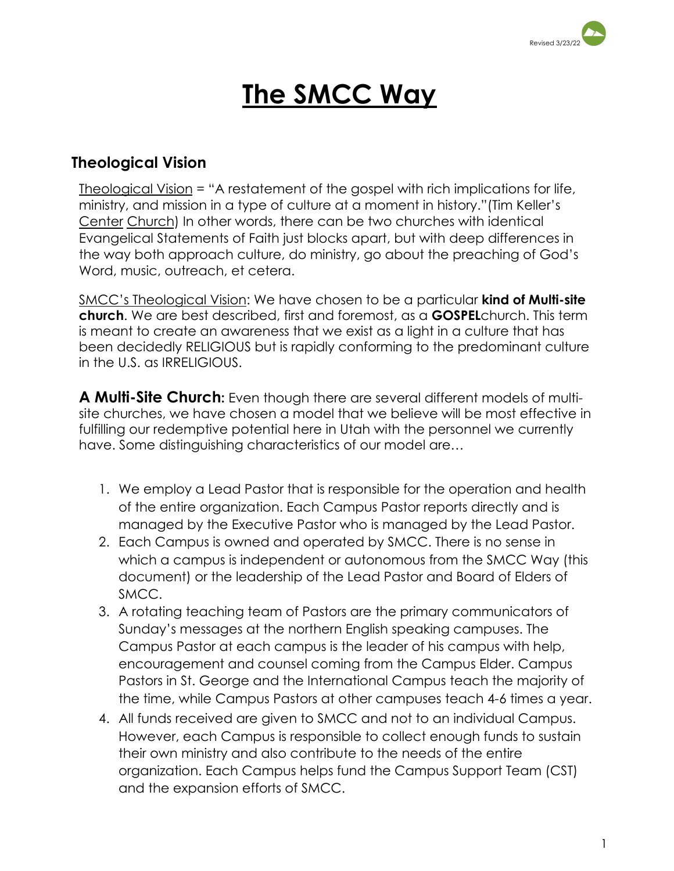

# **The SMCC Way**

## **Theological Vision**

Theological Vision = "A restatement of the gospel with rich implications for life, ministry, and mission in a type of culture at a moment in history."(Tim Keller's Center Church) In other words, there can be two churches with identical Evangelical Statements of Faith just blocks apart, but with deep differences in the way both approach culture, do ministry, go about the preaching of God's Word, music, outreach, et cetera.

SMCC's Theological Vision: We have chosen to be a particular **kind of Multi-site church**. We are best described, first and foremost, as a **GOSPEL**church. This term is meant to create an awareness that we exist as a light in a culture that has been decidedly RELIGIOUS but is rapidly conforming to the predominant culture in the U.S. as IRRELIGIOUS.

**A Multi-Site Church:** Even though there are several different models of multisite churches, we have chosen a model that we believe will be most effective in fulfilling our redemptive potential here in Utah with the personnel we currently have. Some distinguishing characteristics of our model are…

- 1. We employ a Lead Pastor that is responsible for the operation and health of the entire organization. Each Campus Pastor reports directly and is managed by the Executive Pastor who is managed by the Lead Pastor.
- 2. Each Campus is owned and operated by SMCC. There is no sense in which a campus is independent or autonomous from the SMCC Way (this document) or the leadership of the Lead Pastor and Board of Elders of SMCC.
- 3. A rotating teaching team of Pastors are the primary communicators of Sunday's messages at the northern English speaking campuses. The Campus Pastor at each campus is the leader of his campus with help, encouragement and counsel coming from the Campus Elder. Campus Pastors in St. George and the International Campus teach the majority of the time, while Campus Pastors at other campuses teach 4-6 times a year.
- 4. All funds received are given to SMCC and not to an individual Campus. However, each Campus is responsible to collect enough funds to sustain their own ministry and also contribute to the needs of the entire organization. Each Campus helps fund the Campus Support Team (CST) and the expansion efforts of SMCC.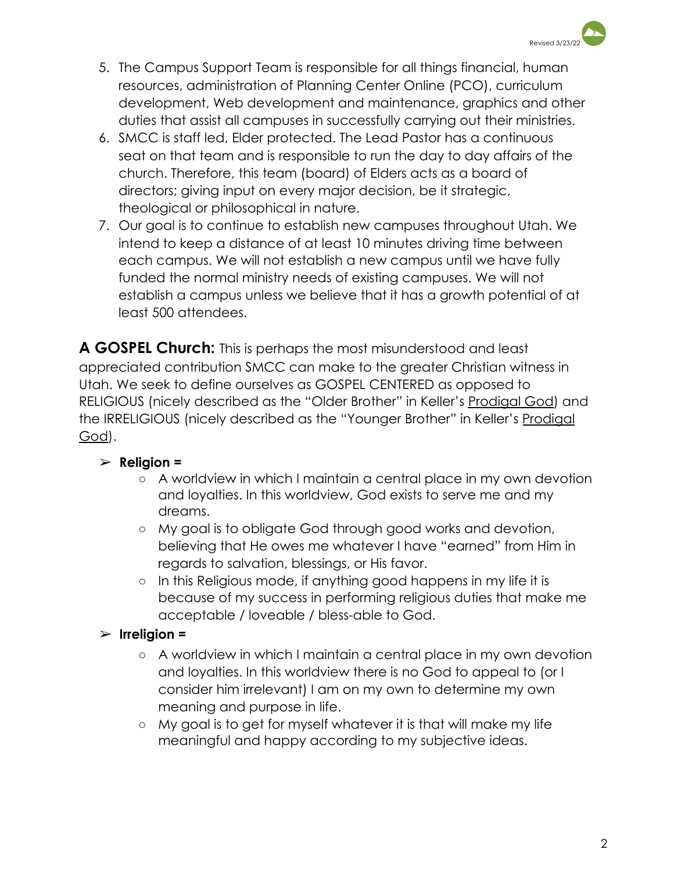

- 5. The Campus Support Team is responsible for all things financial, human resources, administration of Planning Center Online (PCO), curriculum development, Web development and maintenance, graphics and other duties that assist all campuses in successfully carrying out their ministries.
- 6. SMCC is staff led, Elder protected. The Lead Pastor has a continuous seat on that team and is responsible to run the day to day affairs of the church. Therefore, this team (board) of Elders acts as a board of directors; giving input on every major decision, be it strategic, theological or philosophical in nature.
- 7. Our goal is to continue to establish new campuses throughout Utah. We intend to keep a distance of at least 10 minutes driving time between each campus. We will not establish a new campus until we have fully funded the normal ministry needs of existing campuses. We will not establish a campus unless we believe that it has a growth potential of at least 500 attendees.

**A GOSPEL Church:** This is perhaps the most misunderstood and least appreciated contribution SMCC can make to the greater Christian witness in Utah. We seek to define ourselves as GOSPEL CENTERED as opposed to RELIGIOUS (nicely described as the "Older Brother" in Keller's Prodigal God) and the IRRELIGIOUS (nicely described as the "Younger Brother" in Keller's Prodigal God).

## ➢ **Religion =**

- **○** A worldview in which I maintain a central place in my own devotion and loyalties. In this worldview, God exists to serve me and my dreams.
- **○** My goal is to obligate God through good works and devotion, believing that He owes me whatever I have "earned" from Him in regards to salvation, blessings, or His favor.
- **○** In this Religious mode, if anything good happens in my life it is because of my success in performing religious duties that make me acceptable / loveable / bless-able to God.

## ➢ **Irreligion =**

- **○** A worldview in which I maintain a central place in my own devotion and loyalties. In this worldview there is no God to appeal to (or I consider him irrelevant) I am on my own to determine my own meaning and purpose in life.
- **○** My goal is to get for myself whatever it is that will make my life meaningful and happy according to my subjective ideas.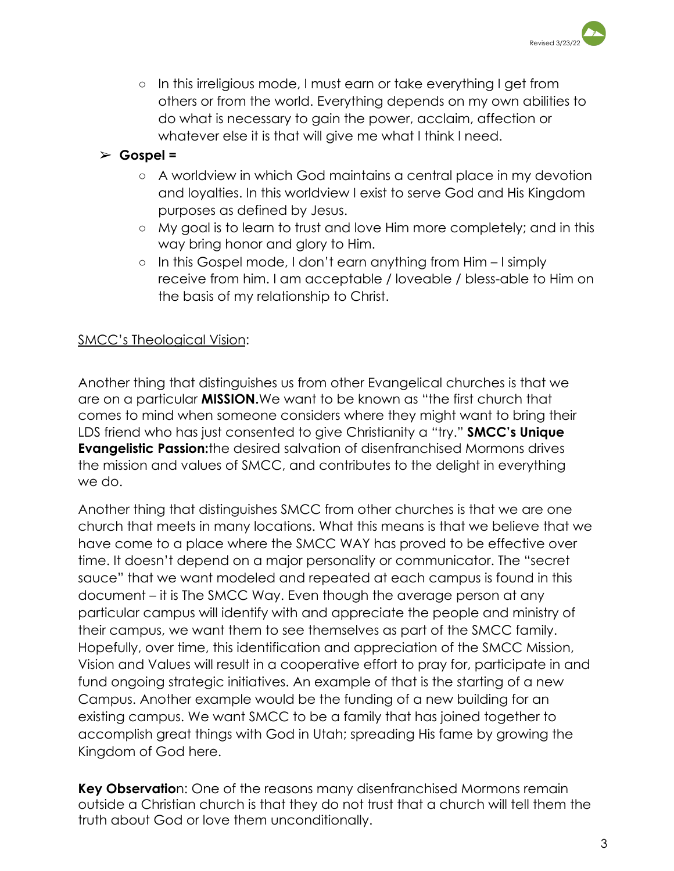

**○** In this irreligious mode, I must earn or take everything I get from others or from the world. Everything depends on my own abilities to do what is necessary to gain the power, acclaim, affection or whatever else it is that will give me what I think I need.

## ➢ **Gospel =**

- **○** A worldview in which God maintains a central place in my devotion and loyalties. In this worldview I exist to serve God and His Kingdom purposes as defined by Jesus.
- **○** My goal is to learn to trust and love Him more completely; and in this way bring honor and glory to Him.
- **○** In this Gospel mode, I don't earn anything from Him I simply receive from him. I am acceptable / loveable / bless-able to Him on the basis of my relationship to Christ.

### SMCC's Theological Vision:

Another thing that distinguishes us from other Evangelical churches is that we are on a particular **MISSION.**We want to be known as "the first church that comes to mind when someone considers where they might want to bring their LDS friend who has just consented to give Christianity a "try." **SMCC's Unique Evangelistic Passion:**the desired salvation of disenfranchised Mormons drives the mission and values of SMCC, and contributes to the delight in everything we do.

Another thing that distinguishes SMCC from other churches is that we are one church that meets in many locations. What this means is that we believe that we have come to a place where the SMCC WAY has proved to be effective over time. It doesn't depend on a major personality or communicator. The "secret sauce" that we want modeled and repeated at each campus is found in this document – it is The SMCC Way. Even though the average person at any particular campus will identify with and appreciate the people and ministry of their campus, we want them to see themselves as part of the SMCC family. Hopefully, over time, this identification and appreciation of the SMCC Mission, Vision and Values will result in a cooperative effort to pray for, participate in and fund ongoing strategic initiatives. An example of that is the starting of a new Campus. Another example would be the funding of a new building for an existing campus. We want SMCC to be a family that has joined together to accomplish great things with God in Utah; spreading His fame by growing the Kingdom of God here.

**Key Observatio**n: One of the reasons many disenfranchised Mormons remain outside a Christian church is that they do not trust that a church will tell them the truth about God or love them unconditionally.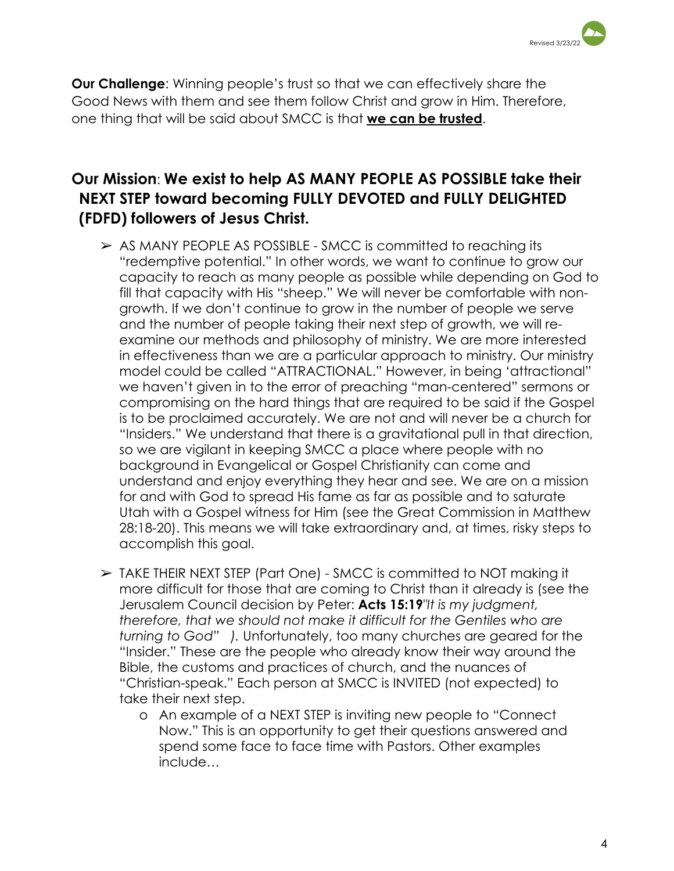

**Our Challenge**: Winning people's trust so that we can effectively share the Good News with them and see them follow Christ and grow in Him. Therefore, one thing that will be said about SMCC is that **we can be trusted**.

## **Our Mission**: **We exist to help AS MANY PEOPLE AS POSSIBLE take their NEXT STEP toward becoming FULLY DEVOTED and FULLY DELIGHTED (FDFD) followers of Jesus Christ.**

- $\triangleright$  AS MANY PEOPLE AS POSSIBLE SMCC is committed to reaching its "redemptive potential." In other words, we want to continue to grow our capacity to reach as many people as possible while depending on God to fill that capacity with His "sheep." We will never be comfortable with nongrowth. If we don't continue to grow in the number of people we serve and the number of people taking their next step of growth, we will reexamine our methods and philosophy of ministry. We are more interested in effectiveness than we are a particular approach to ministry. Our ministry model could be called "ATTRACTIONAL." However, in being 'attractional" we haven't given in to the error of preaching "man-centered" sermons or compromising on the hard things that are required to be said if the Gospel is to be proclaimed accurately. We are not and will never be a church for "Insiders." We understand that there is a gravitational pull in that direction, so we are vigilant in keeping SMCC a place where people with no background in Evangelical or Gospel Christianity can come and understand and enjoy everything they hear and see. We are on a mission for and with God to spread His fame as far as possible and to saturate Utah with a Gospel witness for Him (see the Great Commission in Matthew 28:18-20). This means we will take extraordinary and, at times, risky steps to accomplish this goal.
- ➢ TAKE THEIR NEXT STEP (Part One) SMCC is committed to NOT making it more difficult for those that are coming to Christ than it already is (see the Jerusalem Council decision by Peter: **Acts 15:19***"It is my judgment, therefore, that we should not make it difficult for the Gentiles who are turning to God" ).* Unfortunately, too many churches are geared for the "Insider." These are the people who already know their way around the Bible, the customs and practices of church, and the nuances of "Christian-speak." Each person at SMCC is INVITED (not expected) to take their next step.
	- o An example of a NEXT STEP is inviting new people to "Connect Now." This is an opportunity to get their questions answered and spend some face to face time with Pastors. Other examples include…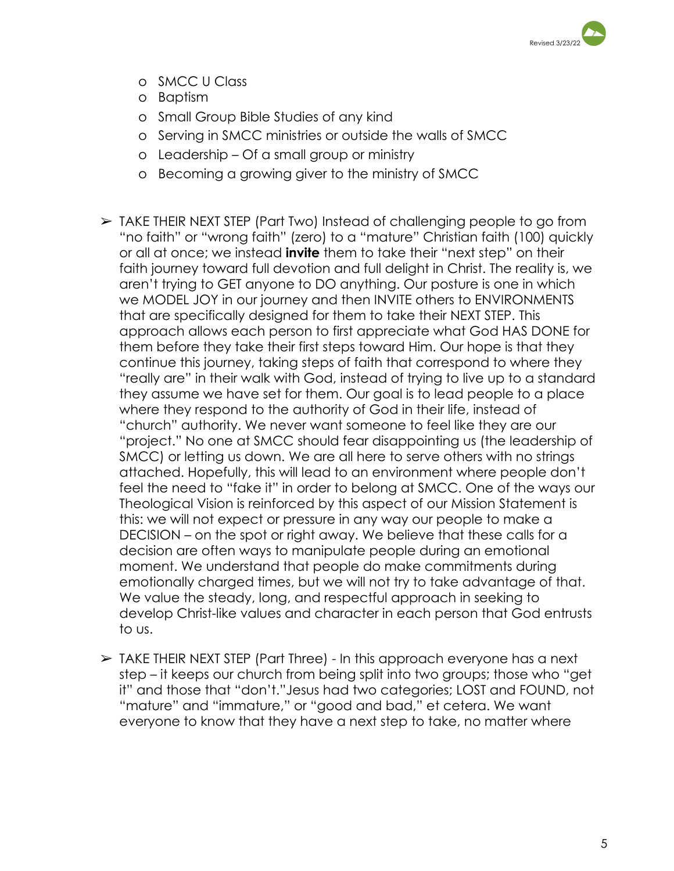

- o SMCC U Class
- o Baptism
- o Small Group Bible Studies of any kind
- o Serving in SMCC ministries or outside the walls of SMCC
- o Leadership Of a small group or ministry
- o Becoming a growing giver to the ministry of SMCC
- ➢ TAKE THEIR NEXT STEP (Part Two) Instead of challenging people to go from "no faith" or "wrong faith" (zero) to a "mature" Christian faith (100) quickly or all at once; we instead **invite** them to take their "next step" on their faith journey toward full devotion and full delight in Christ. The reality is, we aren't trying to GET anyone to DO anything. Our posture is one in which we MODEL JOY in our journey and then INVITE others to ENVIRONMENTS that are specifically designed for them to take their NEXT STEP. This approach allows each person to first appreciate what God HAS DONE for them before they take their first steps toward Him. Our hope is that they continue this journey, taking steps of faith that correspond to where they "really are" in their walk with God, instead of trying to live up to a standard they assume we have set for them. Our goal is to lead people to a place where they respond to the authority of God in their life, instead of "church" authority. We never want someone to feel like they are our "project." No one at SMCC should fear disappointing us (the leadership of SMCC) or letting us down. We are all here to serve others with no strings attached. Hopefully, this will lead to an environment where people don't feel the need to "fake it" in order to belong at SMCC. One of the ways our Theological Vision is reinforced by this aspect of our Mission Statement is this: we will not expect or pressure in any way our people to make a DECISION – on the spot or right away. We believe that these calls for a decision are often ways to manipulate people during an emotional moment. We understand that people do make commitments during emotionally charged times, but we will not try to take advantage of that. We value the steady, long, and respectful approach in seeking to develop Christ-like values and character in each person that God entrusts to us.
- ➢ TAKE THEIR NEXT STEP (Part Three) In this approach everyone has a next step – it keeps our church from being split into two groups; those who "get it" and those that "don't."Jesus had two categories; LOST and FOUND, not "mature" and "immature," or "good and bad," et cetera. We want everyone to know that they have a next step to take, no matter where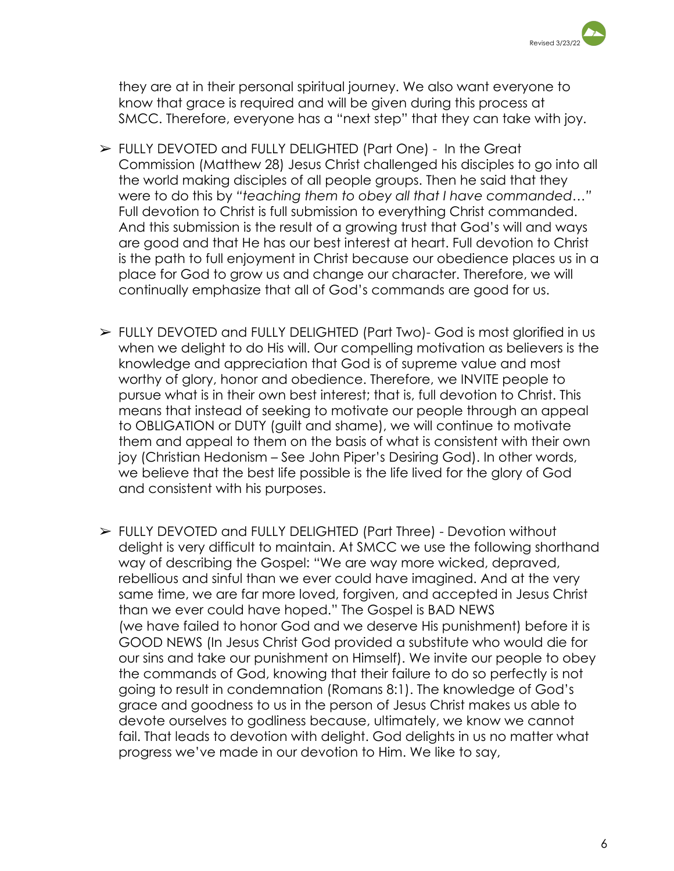

they are at in their personal spiritual journey. We also want everyone to know that grace is required and will be given during this process at SMCC. Therefore, everyone has a "next step" that they can take with joy.

- ➢ FULLY DEVOTED and FULLY DELIGHTED (Part One) In the Great Commission (Matthew 28) Jesus Christ challenged his disciples to go into all the world making disciples of all people groups. Then he said that they were to do this by *"teaching them to obey all that I have commanded…"* Full devotion to Christ is full submission to everything Christ commanded. And this submission is the result of a growing trust that God's will and ways are good and that He has our best interest at heart. Full devotion to Christ is the path to full enjoyment in Christ because our obedience places us in a place for God to grow us and change our character. Therefore, we will continually emphasize that all of God's commands are good for us.
- ➢ FULLY DEVOTED and FULLY DELIGHTED (Part Two)- God is most glorified in us when we delight to do His will. Our compelling motivation as believers is the knowledge and appreciation that God is of supreme value and most worthy of glory, honor and obedience. Therefore, we INVITE people to pursue what is in their own best interest; that is, full devotion to Christ. This means that instead of seeking to motivate our people through an appeal to OBLIGATION or DUTY (guilt and shame), we will continue to motivate them and appeal to them on the basis of what is consistent with their own joy (Christian Hedonism – See John Piper's Desiring God). In other words, we believe that the best life possible is the life lived for the glory of God and consistent with his purposes.
- ➢ FULLY DEVOTED and FULLY DELIGHTED (Part Three) Devotion without delight is very difficult to maintain. At SMCC we use the following shorthand way of describing the Gospel: "We are way more wicked, depraved, rebellious and sinful than we ever could have imagined. And at the very same time, we are far more loved, forgiven, and accepted in Jesus Christ than we ever could have hoped." The Gospel is BAD NEWS (we have failed to honor God and we deserve His punishment) before it is GOOD NEWS (In Jesus Christ God provided a substitute who would die for our sins and take our punishment on Himself). We invite our people to obey the commands of God, knowing that their failure to do so perfectly is not going to result in condemnation (Romans 8:1). The knowledge of God's grace and goodness to us in the person of Jesus Christ makes us able to devote ourselves to godliness because, ultimately, we know we cannot fail. That leads to devotion with delight. God delights in us no matter what progress we've made in our devotion to Him. We like to say,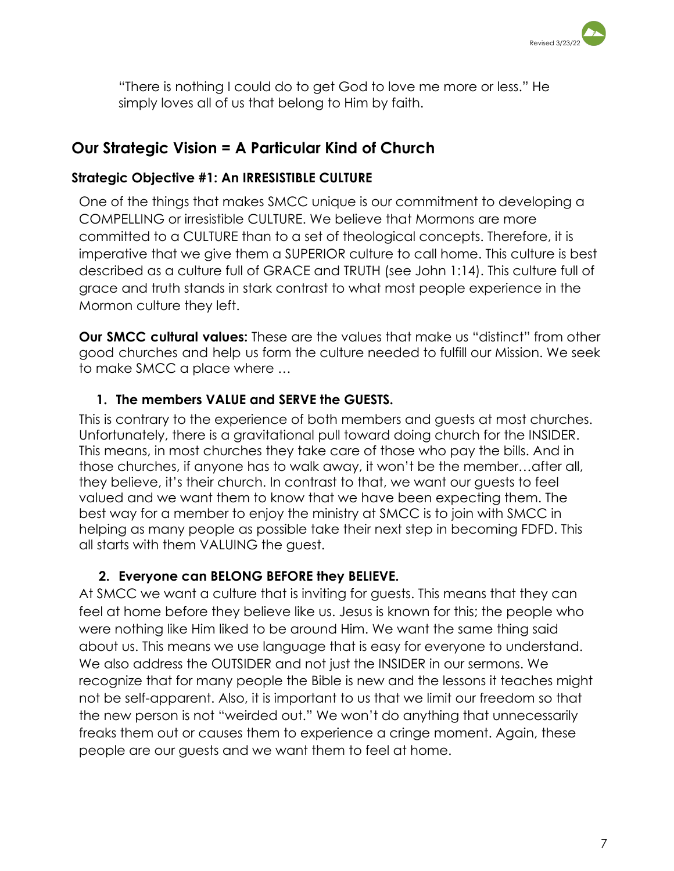

"There is nothing I could do to get God to love me more or less." He simply loves all of us that belong to Him by faith.

## **Our Strategic Vision = A Particular Kind of Church**

## **Strategic Objective #1: An IRRESISTIBLE CULTURE**

One of the things that makes SMCC unique is our commitment to developing a COMPELLING or irresistible CULTURE. We believe that Mormons are more committed to a CULTURE than to a set of theological concepts. Therefore, it is imperative that we give them a SUPERIOR culture to call home. This culture is best described as a culture full of GRACE and TRUTH (see John 1:14). This culture full of grace and truth stands in stark contrast to what most people experience in the Mormon culture they left.

**Our SMCC cultural values:** These are the values that make us "distinct" from other good churches and help us form the culture needed to fulfill our Mission. We seek to make SMCC a place where …

## **1. The members VALUE and SERVE the GUESTS.**

This is contrary to the experience of both members and guests at most churches. Unfortunately, there is a gravitational pull toward doing church for the INSIDER. This means, in most churches they take care of those who pay the bills. And in those churches, if anyone has to walk away, it won't be the member…after all, they believe, it's their church. In contrast to that, we want our guests to feel valued and we want them to know that we have been expecting them. The best way for a member to enjoy the ministry at SMCC is to join with SMCC in helping as many people as possible take their next step in becoming FDFD. This all starts with them VALUING the guest.

## **2. Everyone can BELONG BEFORE they BELIEVE.**

At SMCC we want a culture that is inviting for guests. This means that they can feel at home before they believe like us. Jesus is known for this; the people who were nothing like Him liked to be around Him. We want the same thing said about us. This means we use language that is easy for everyone to understand. We also address the OUTSIDER and not just the INSIDER in our sermons. We recognize that for many people the Bible is new and the lessons it teaches might not be self-apparent. Also, it is important to us that we limit our freedom so that the new person is not "weirded out." We won't do anything that unnecessarily freaks them out or causes them to experience a cringe moment. Again, these people are our guests and we want them to feel at home.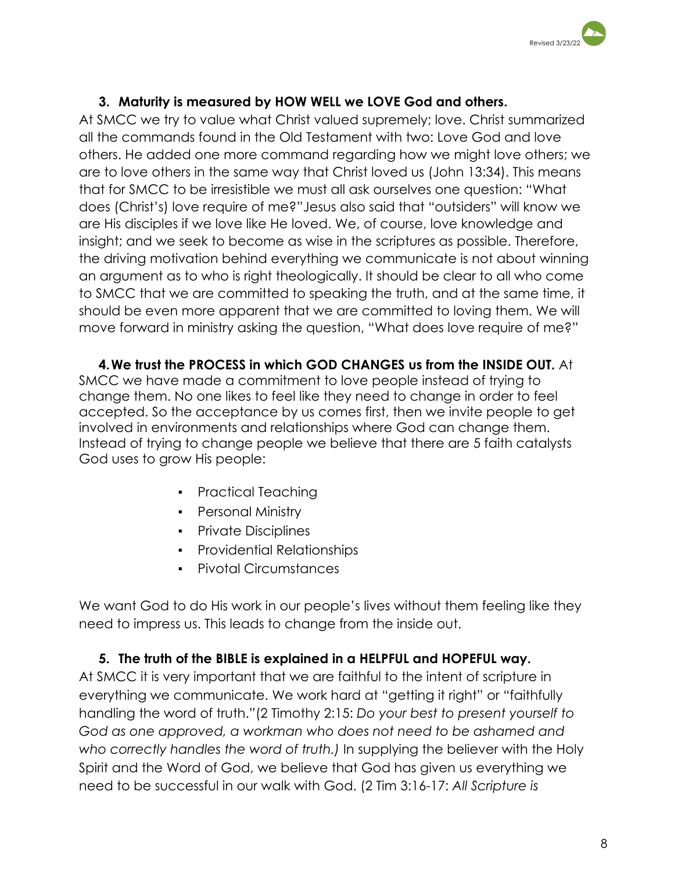

## **3. Maturity is measured by HOW WELL we LOVE God and others.**

At SMCC we try to value what Christ valued supremely; love. Christ summarized all the commands found in the Old Testament with two: Love God and love others. He added one more command regarding how we might love others; we are to love others in the same way that Christ loved us (John 13:34). This means that for SMCC to be irresistible we must all ask ourselves one question: "What does (Christ's) love require of me?"Jesus also said that "outsiders" will know we are His disciples if we love like He loved. We, of course, love knowledge and insight; and we seek to become as wise in the scriptures as possible. Therefore, the driving motivation behind everything we communicate is not about winning an argument as to who is right theologically. It should be clear to all who come to SMCC that we are committed to speaking the truth, and at the same time, it should be even more apparent that we are committed to loving them. We will move forward in ministry asking the question, "What does love require of me?"

**4.We trust the PROCESS in which GOD CHANGES us from the INSIDE OUT.** At SMCC we have made a commitment to love people instead of trying to change them. No one likes to feel like they need to change in order to feel accepted. So the acceptance by us comes first, then we invite people to get involved in environments and relationships where God can change them. Instead of trying to change people we believe that there are 5 faith catalysts God uses to grow His people:

- Practical Teaching
- Personal Ministry
- Private Disciplines
- Providential Relationships
- Pivotal Circumstances

We want God to do His work in our people's lives without them feeling like they need to impress us. This leads to change from the inside out.

## **5. The truth of the BIBLE is explained in a HELPFUL and HOPEFUL way.**

At SMCC it is very important that we are faithful to the intent of scripture in everything we communicate. We work hard at "getting it right" or "faithfully handling the word of truth."(2 Timothy 2:15: *Do your best to present yourself to God as one approved, a workman who does not need to be ashamed and who correctly handles the word of truth.)* In supplying the believer with the Holy Spirit and the Word of God, we believe that God has given us everything we need to be successful in our walk with God. (2 Tim 3:16-17: *All Scripture is*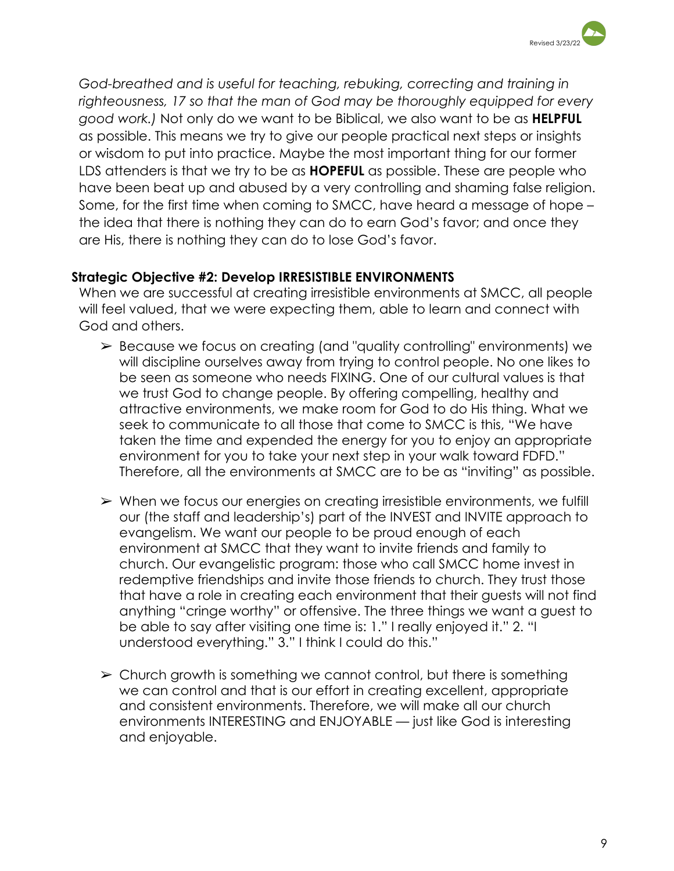

*God-breathed and is useful for teaching, rebuking, correcting and training in righteousness, 17 so that the man of God may be thoroughly equipped for every good work.)* Not only do we want to be Biblical, we also want to be as **HELPFUL** as possible. This means we try to give our people practical next steps or insights or wisdom to put into practice. Maybe the most important thing for our former LDS attenders is that we try to be as **HOPEFUL** as possible. These are people who have been beat up and abused by a very controlling and shaming false religion. Some, for the first time when coming to SMCC, have heard a message of hope – the idea that there is nothing they can do to earn God's favor; and once they are His, there is nothing they can do to lose God's favor.

### **Strategic Objective #2: Develop IRRESISTIBLE ENVIRONMENTS**

When we are successful at creating irresistible environments at SMCC, all people will feel valued, that we were expecting them, able to learn and connect with God and others.

- ➢ Because we focus on creating (and "quality controlling" environments) we will discipline ourselves away from trying to control people. No one likes to be seen as someone who needs FIXING. One of our cultural values is that we trust God to change people. By offering compelling, healthy and attractive environments, we make room for God to do His thing. What we seek to communicate to all those that come to SMCC is this, "We have taken the time and expended the energy for you to enjoy an appropriate environment for you to take your next step in your walk toward FDFD." Therefore, all the environments at SMCC are to be as "inviting" as possible.
- ➢ When we focus our energies on creating irresistible environments, we fulfill our (the staff and leadership's) part of the INVEST and INVITE approach to evangelism. We want our people to be proud enough of each environment at SMCC that they want to invite friends and family to church. Our evangelistic program: those who call SMCC home invest in redemptive friendships and invite those friends to church. They trust those that have a role in creating each environment that their guests will not find anything "cringe worthy" or offensive. The three things we want a guest to be able to say after visiting one time is: 1." I really enjoyed it." 2. "I understood everything." 3." I think I could do this."
- $\geq$  Church growth is something we cannot control, but there is something we can control and that is our effort in creating excellent, appropriate and consistent environments. Therefore, we will make all our church environments INTERESTING and ENJOYABLE — just like God is interesting and enjoyable.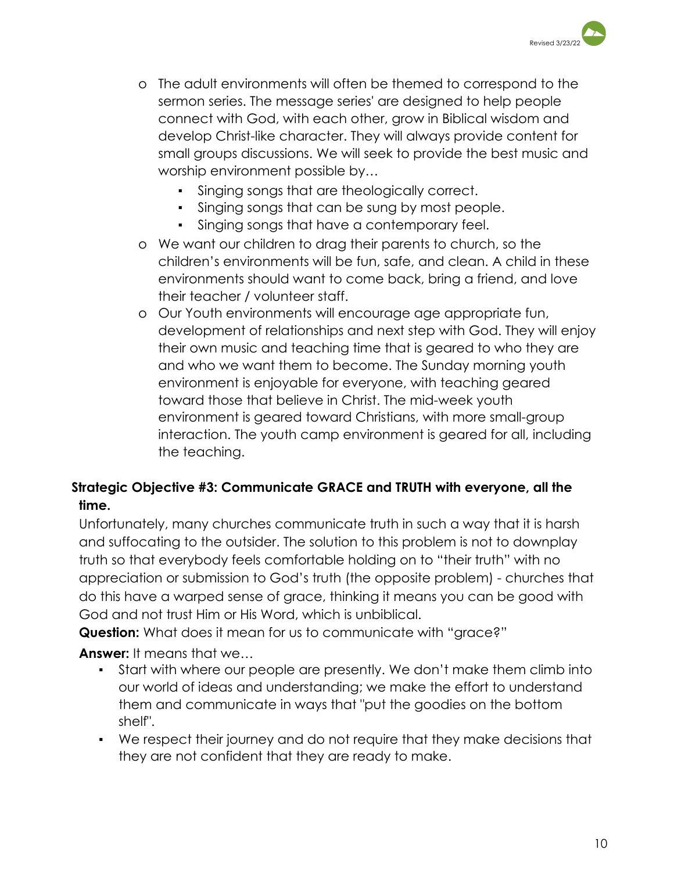

- o The adult environments will often be themed to correspond to the sermon series. The message series' are designed to help people connect with God, with each other, grow in Biblical wisdom and develop Christ-like character. They will always provide content for small groups discussions. We will seek to provide the best music and worship environment possible by…
	- Singing songs that are theologically correct.
	- Singing songs that can be sung by most people.
	- Singing songs that have a contemporary feel.
- o We want our children to drag their parents to church, so the children's environments will be fun, safe, and clean. A child in these environments should want to come back, bring a friend, and love their teacher / volunteer staff.
- o Our Youth environments will encourage age appropriate fun, development of relationships and next step with God. They will enjoy their own music and teaching time that is geared to who they are and who we want them to become. The Sunday morning youth environment is enjoyable for everyone, with teaching geared toward those that believe in Christ. The mid-week youth environment is geared toward Christians, with more small-group interaction. The youth camp environment is geared for all, including the teaching.

## **Strategic Objective #3: Communicate GRACE and TRUTH with everyone, all the time.**

Unfortunately, many churches communicate truth in such a way that it is harsh and suffocating to the outsider. The solution to this problem is not to downplay truth so that everybody feels comfortable holding on to "their truth" with no appreciation or submission to God's truth (the opposite problem) - churches that do this have a warped sense of grace, thinking it means you can be good with God and not trust Him or His Word, which is unbiblical.

**Question:** What does it mean for us to communicate with "grace?"

**Answer:** It means that we…

- Start with where our people are presently. We don't make them climb into our world of ideas and understanding; we make the effort to understand them and communicate in ways that "put the goodies on the bottom shelf".
- We respect their journey and do not require that they make decisions that they are not confident that they are ready to make.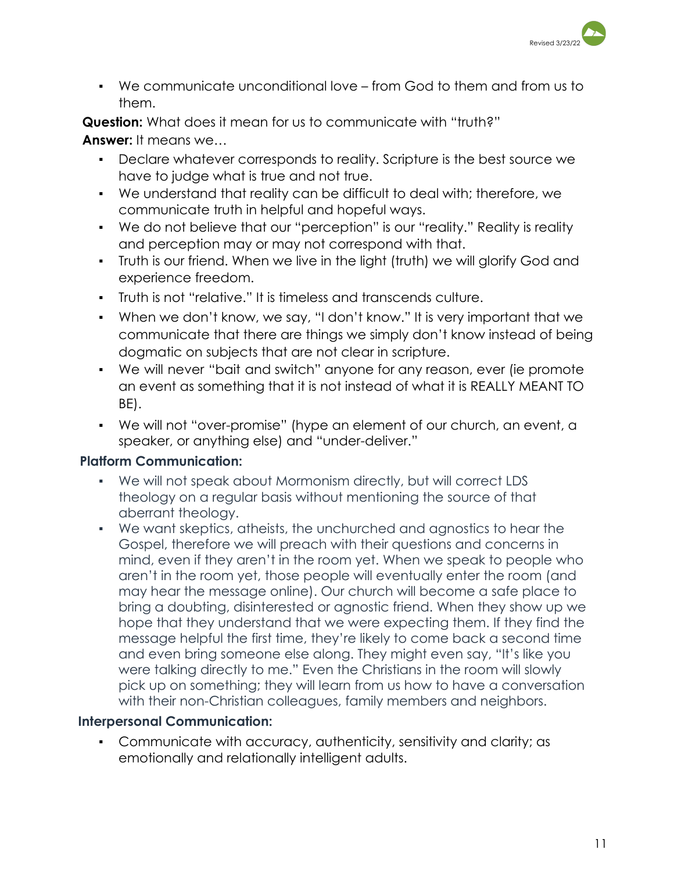

▪ We communicate unconditional love – from God to them and from us to them.

**Question:** What does it mean for us to communicate with "truth?" **Answer:** It means we…

- Declare whatever corresponds to reality. Scripture is the best source we have to judge what is true and not true.
- We understand that reality can be difficult to deal with; therefore, we communicate truth in helpful and hopeful ways.
- We do not believe that our "perception" is our "reality." Reality is reality and perception may or may not correspond with that.
- Truth is our friend. When we live in the light (truth) we will glorify God and experience freedom.
- Truth is not "relative." It is timeless and transcends culture.
- When we don't know, we say, "I don't know." It is very important that we communicate that there are things we simply don't know instead of being dogmatic on subjects that are not clear in scripture.
- We will never "bait and switch" anyone for any reason, ever (ie promote an event as something that it is not instead of what it is REALLY MEANT TO BE).
- We will not "over-promise" (hype an element of our church, an event, a speaker, or anything else) and "under-deliver."

## **Platform Communication:**

- **▪** We will not speak about Mormonism directly, but will correct LDS theology on a regular basis without mentioning the source of that aberrant theology.
- **▪** We want skeptics, atheists, the unchurched and agnostics to hear the Gospel, therefore we will preach with their questions and concerns in mind, even if they aren't in the room yet. When we speak to people who aren't in the room yet, those people will eventually enter the room (and may hear the message online). Our church will become a safe place to bring a doubting, disinterested or agnostic friend. When they show up we hope that they understand that we were expecting them. If they find the message helpful the first time, they're likely to come back a second time and even bring someone else along. They might even say, "It's like you were talking directly to me." Even the Christians in the room will slowly pick up on something; they will learn from us how to have a conversation with their non-Christian colleagues, family members and neighbors.

## **Interpersonal Communication:**

▪ Communicate with accuracy, authenticity, sensitivity and clarity; as emotionally and relationally intelligent adults.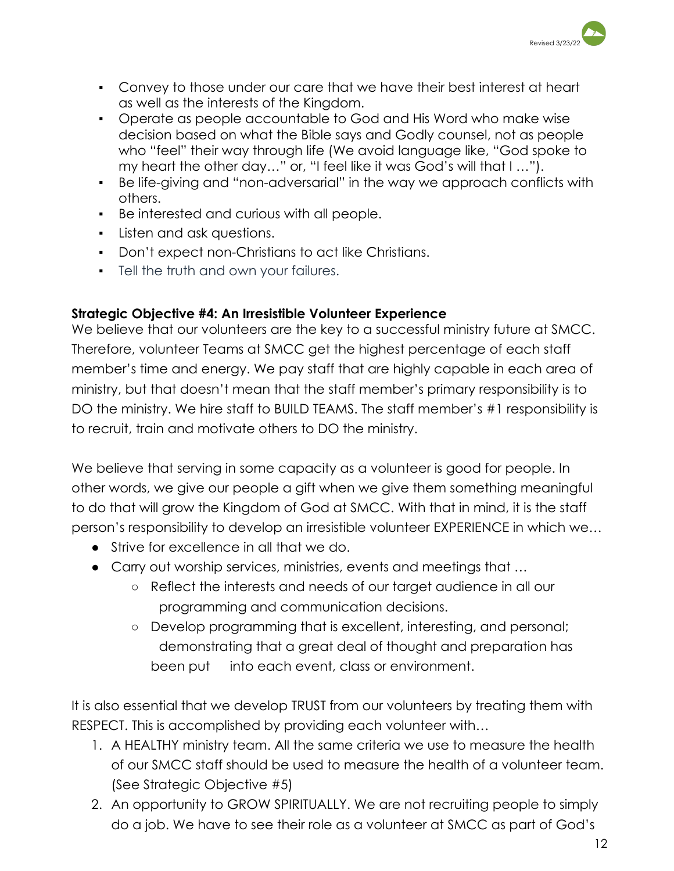

- Convey to those under our care that we have their best interest at heart as well as the interests of the Kingdom.
- Operate as people accountable to God and His Word who make wise decision based on what the Bible says and Godly counsel, not as people who "feel" their way through life (We avoid language like, "God spoke to my heart the other day…" or, "I feel like it was God's will that I …").
- Be life-giving and "non-adversarial" in the way we approach conflicts with others.
- Be interested and curious with all people.
- Listen and ask questions.
- Don't expect non-Christians to act like Christians.
- **•** Tell the truth and own your failures.

## **Strategic Objective #4: An Irresistible Volunteer Experience**

We believe that our volunteers are the key to a successful ministry future at SMCC. Therefore, volunteer Teams at SMCC get the highest percentage of each staff member's time and energy. We pay staff that are highly capable in each area of ministry, but that doesn't mean that the staff member's primary responsibility is to DO the ministry. We hire staff to BUILD TEAMS. The staff member's #1 responsibility is to recruit, train and motivate others to DO the ministry.

We believe that serving in some capacity as a volunteer is good for people. In other words, we give our people a gift when we give them something meaningful to do that will grow the Kingdom of God at SMCC. With that in mind, it is the staff person's responsibility to develop an irresistible volunteer EXPERIENCE in which we…

- Strive for excellence in all that we do.
- Carry out worship services, ministries, events and meetings that ...
	- Reflect the interests and needs of our target audience in all our programming and communication decisions.
	- Develop programming that is excellent, interesting, and personal; demonstrating that a great deal of thought and preparation has been put into each event, class or environment.

It is also essential that we develop TRUST from our volunteers by treating them with RESPECT. This is accomplished by providing each volunteer with…

- 1. A HEALTHY ministry team. All the same criteria we use to measure the health of our SMCC staff should be used to measure the health of a volunteer team. (See Strategic Objective #5)
- 2. An opportunity to GROW SPIRITUALLY. We are not recruiting people to simply do a job. We have to see their role as a volunteer at SMCC as part of God's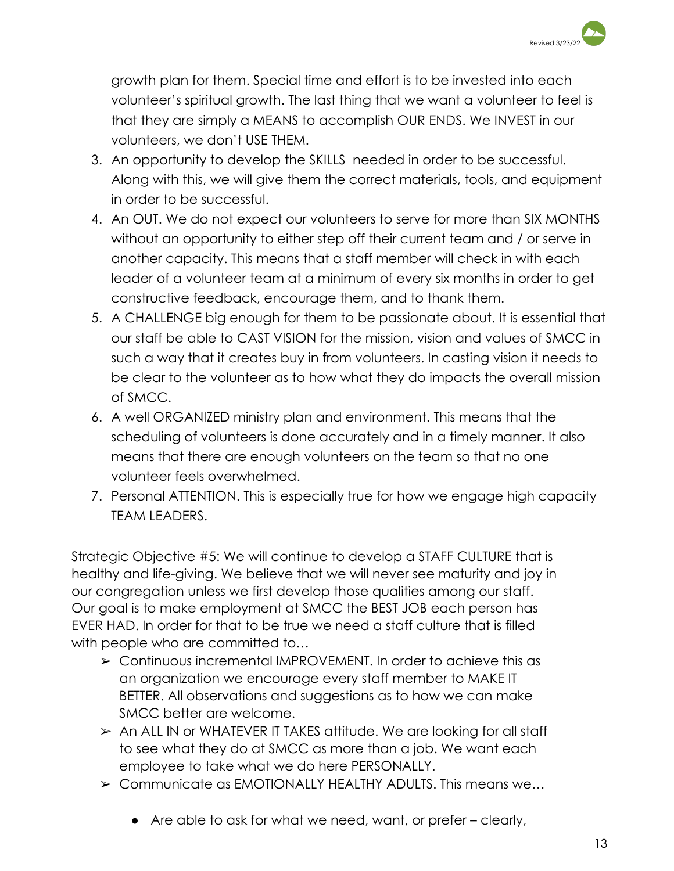

growth plan for them. Special time and effort is to be invested into each volunteer's spiritual growth. The last thing that we want a volunteer to feel is that they are simply a MEANS to accomplish OUR ENDS. We INVEST in our volunteers, we don't USE THEM.

- 3. An opportunity to develop the SKILLS needed in order to be successful. Along with this, we will give them the correct materials, tools, and equipment in order to be successful.
- 4. An OUT. We do not expect our volunteers to serve for more than SIX MONTHS without an opportunity to either step off their current team and / or serve in another capacity. This means that a staff member will check in with each leader of a volunteer team at a minimum of every six months in order to get constructive feedback, encourage them, and to thank them.
- 5. A CHALLENGE big enough for them to be passionate about. It is essential that our staff be able to CAST VISION for the mission, vision and values of SMCC in such a way that it creates buy in from volunteers. In casting vision it needs to be clear to the volunteer as to how what they do impacts the overall mission of SMCC.
- 6. A well ORGANIZED ministry plan and environment. This means that the scheduling of volunteers is done accurately and in a timely manner. It also means that there are enough volunteers on the team so that no one volunteer feels overwhelmed.
- 7. Personal ATTENTION. This is especially true for how we engage high capacity TEAM LEADERS.

Strategic Objective #5: We will continue to develop a STAFF CULTURE that is healthy and life-giving. We believe that we will never see maturity and joy in our congregation unless we first develop those qualities among our staff. Our goal is to make employment at SMCC the BEST JOB each person has EVER HAD. In order for that to be true we need a staff culture that is filled with people who are committed to...

- ➢ Continuous incremental IMPROVEMENT. In order to achieve this as an organization we encourage every staff member to MAKE IT BETTER. All observations and suggestions as to how we can make SMCC better are welcome.
- ➢ An ALL IN or WHATEVER IT TAKES attitude. We are looking for all staff to see what they do at SMCC as more than a job. We want each employee to take what we do here PERSONALLY.
- $\geq$  Communicate as EMOTIONALLY HEALTHY ADULTS. This means we...
	- Are able to ask for what we need, want, or prefer clearly,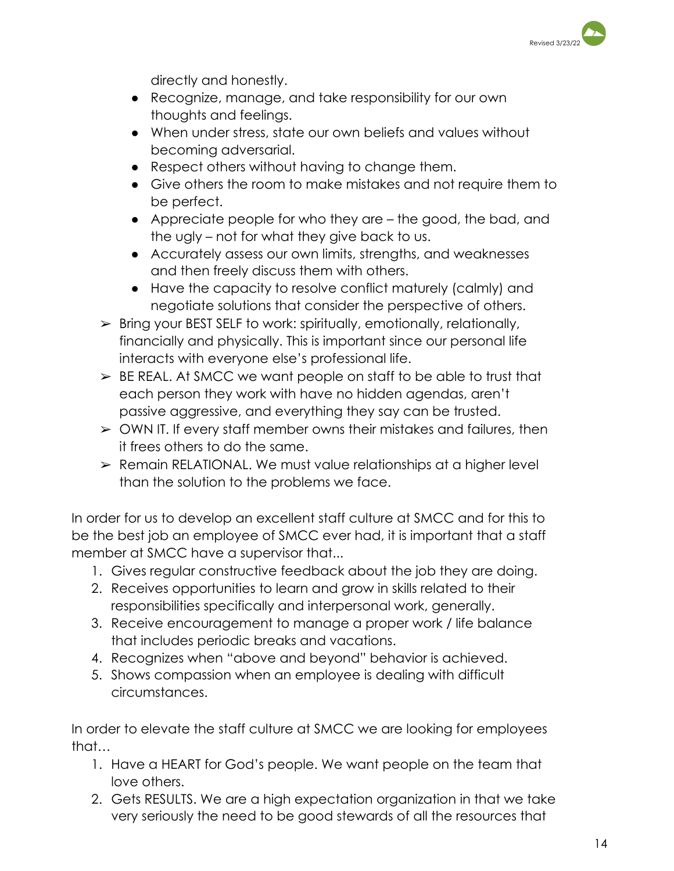

directly and honestly.

- Recognize, manage, and take responsibility for our own thoughts and feelings.
- When under stress, state our own beliefs and values without becoming adversarial.
- Respect others without having to change them.
- Give others the room to make mistakes and not require them to be perfect.
- Appreciate people for who they are the good, the bad, and the ugly – not for what they give back to us.
- Accurately assess our own limits, strengths, and weaknesses and then freely discuss them with others.
- Have the capacity to resolve conflict maturely (calmly) and negotiate solutions that consider the perspective of others.
- $\geq$  Bring your BEST SELF to work: spiritually, emotionally, relationally, financially and physically. This is important since our personal life interacts with everyone else's professional life.
- $\geq$  BE REAL. At SMCC we want people on staff to be able to trust that each person they work with have no hidden agendas, aren't passive aggressive, and everything they say can be trusted.
- ➢ OWN IT. If every staff member owns their mistakes and failures, then it frees others to do the same.
- ➢ Remain RELATIONAL. We must value relationships at a higher level than the solution to the problems we face.

In order for us to develop an excellent staff culture at SMCC and for this to be the best job an employee of SMCC ever had, it is important that a staff member at SMCC have a supervisor that...

- 1. Gives regular constructive feedback about the job they are doing.
- 2. Receives opportunities to learn and grow in skills related to their responsibilities specifically and interpersonal work, generally.
- 3. Receive encouragement to manage a proper work / life balance that includes periodic breaks and vacations.
- 4. Recognizes when "above and beyond" behavior is achieved.
- 5. Shows compassion when an employee is dealing with difficult circumstances.

In order to elevate the staff culture at SMCC we are looking for employees that…

- 1. Have a HEART for God's people. We want people on the team that love others.
- 2. Gets RESULTS. We are a high expectation organization in that we take very seriously the need to be good stewards of all the resources that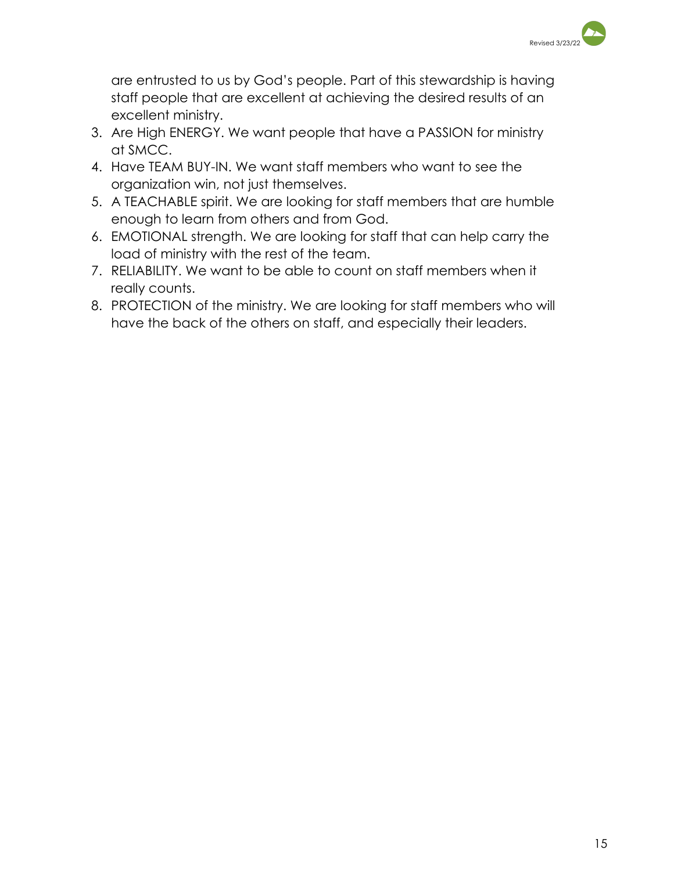

are entrusted to us by God's people. Part of this stewardship is having staff people that are excellent at achieving the desired results of an excellent ministry.

- 3. Are High ENERGY. We want people that have a PASSION for ministry at SMCC.
- 4. Have TEAM BUY-IN. We want staff members who want to see the organization win, not just themselves.
- 5. A TEACHABLE spirit. We are looking for staff members that are humble enough to learn from others and from God.
- 6. EMOTIONAL strength. We are looking for staff that can help carry the load of ministry with the rest of the team.
- 7. RELIABILITY. We want to be able to count on staff members when it really counts.
- 8. PROTECTION of the ministry. We are looking for staff members who will have the back of the others on staff, and especially their leaders.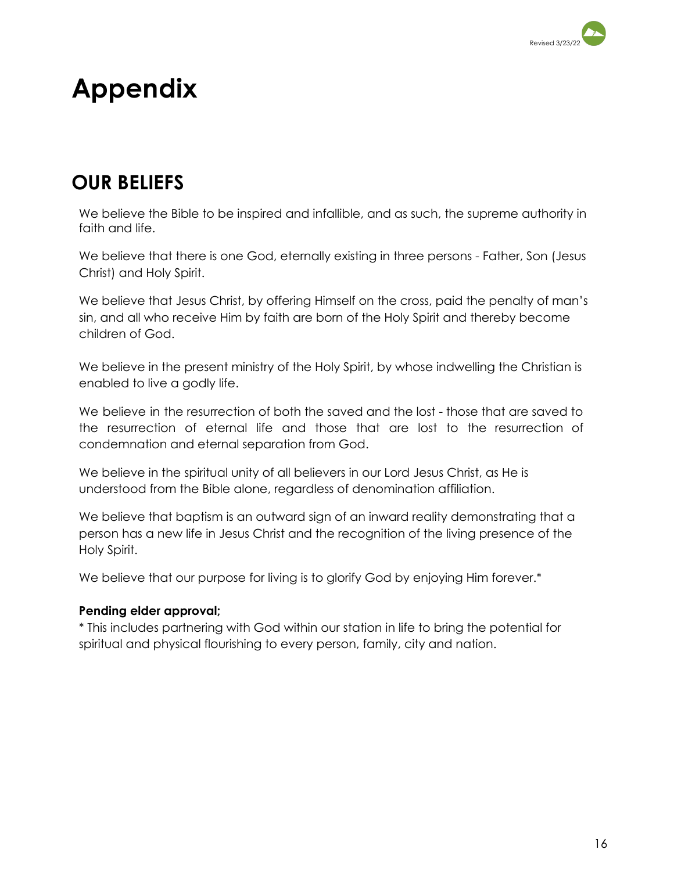

# **Appendix**

## **OUR BELIEFS**

We believe the Bible to be inspired and infallible, and as such, the supreme authority in faith and life.

We believe that there is one God, eternally existing in three persons - Father, Son (Jesus Christ) and Holy Spirit.

We believe that Jesus Christ, by offering Himself on the cross, paid the penalty of man's sin, and all who receive Him by faith are born of the Holy Spirit and thereby become children of God.

We believe in the present ministry of the Holy Spirit, by whose indwelling the Christian is enabled to live a godly life.

We believe in the resurrection of both the saved and the lost - those that are saved to the resurrection of eternal life and those that are lost to the resurrection of condemnation and eternal separation from God.

We believe in the spiritual unity of all believers in our Lord Jesus Christ, as He is understood from the Bible alone, regardless of denomination affiliation.

We believe that baptism is an outward sign of an inward reality demonstrating that a person has a new life in Jesus Christ and the recognition of the living presence of the Holy Spirit.

We believe that our purpose for living is to glorify God by enjoying Him forever.\*

### **Pending elder approval;**

\* This includes partnering with God within our station in life to bring the potential for spiritual and physical flourishing to every person, family, city and nation.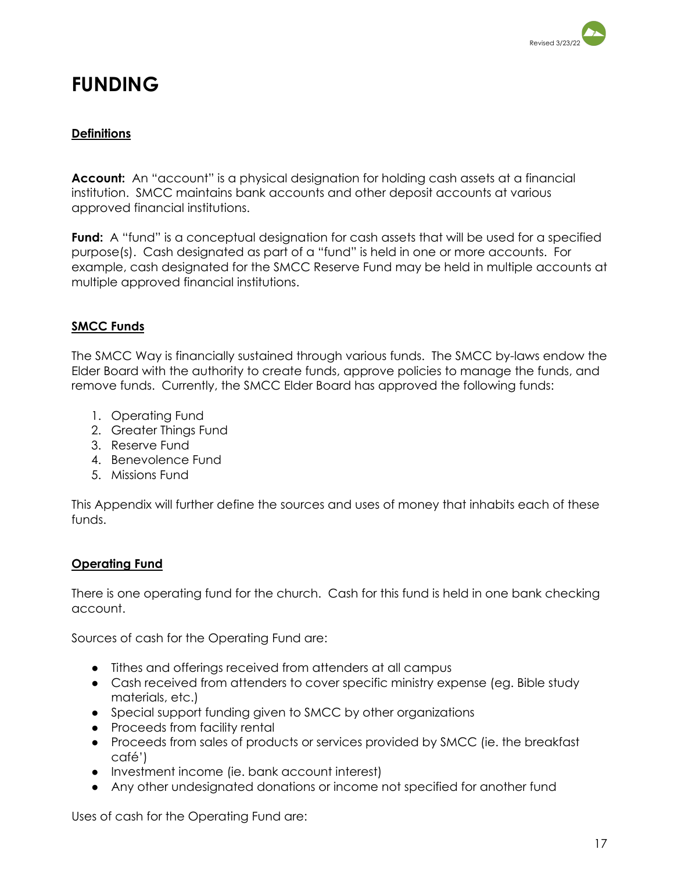

## **FUNDING**

### **Definitions**

**Account:** An "account" is a physical designation for holding cash assets at a financial institution. SMCC maintains bank accounts and other deposit accounts at various approved financial institutions.

**Fund:** A "fund" is a conceptual designation for cash assets that will be used for a specified purpose(s). Cash designated as part of a "fund" is held in one or more accounts. For example, cash designated for the SMCC Reserve Fund may be held in multiple accounts at multiple approved financial institutions.

### **SMCC Funds**

The SMCC Way is financially sustained through various funds. The SMCC by-laws endow the Elder Board with the authority to create funds, approve policies to manage the funds, and remove funds. Currently, the SMCC Elder Board has approved the following funds:

- 1. Operating Fund
- 2. Greater Things Fund
- 3. Reserve Fund
- 4. Benevolence Fund
- 5. Missions Fund

This Appendix will further define the sources and uses of money that inhabits each of these funds.

### **Operating Fund**

There is one operating fund for the church. Cash for this fund is held in one bank checking account.

Sources of cash for the Operating Fund are:

- Tithes and offerings received from attenders at all campus
- Cash received from attenders to cover specific ministry expense (eg. Bible study materials, etc.)
- Special support funding given to SMCC by other organizations
- Proceeds from facility rental
- Proceeds from sales of products or services provided by SMCC (ie. the breakfast café')
- Investment income (ie. bank account interest)
- Any other undesignated donations or income not specified for another fund

Uses of cash for the Operating Fund are: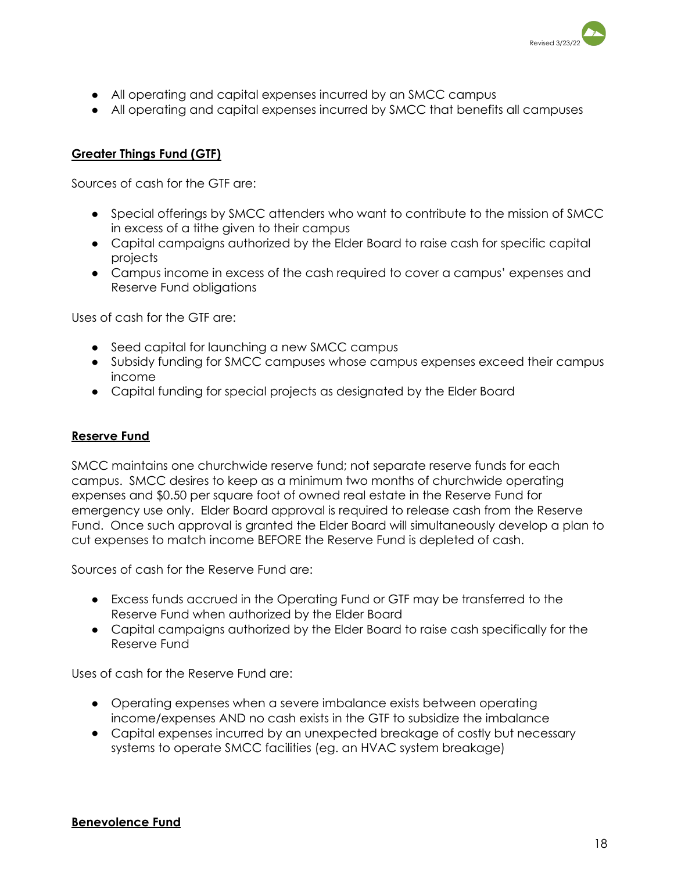

- All operating and capital expenses incurred by an SMCC campus
- All operating and capital expenses incurred by SMCC that benefits all campuses

### **Greater Things Fund (GTF)**

Sources of cash for the GTF are:

- Special offerings by SMCC attenders who want to contribute to the mission of SMCC in excess of a tithe given to their campus
- Capital campaigns authorized by the Elder Board to raise cash for specific capital projects
- Campus income in excess of the cash required to cover a campus' expenses and Reserve Fund obligations

Uses of cash for the GTF are:

- Seed capital for launching a new SMCC campus
- Subsidy funding for SMCC campuses whose campus expenses exceed their campus income
- Capital funding for special projects as designated by the Elder Board

#### **Reserve Fund**

SMCC maintains one churchwide reserve fund; not separate reserve funds for each campus. SMCC desires to keep as a minimum two months of churchwide operating expenses and \$0.50 per square foot of owned real estate in the Reserve Fund for emergency use only. Elder Board approval is required to release cash from the Reserve Fund. Once such approval is granted the Elder Board will simultaneously develop a plan to cut expenses to match income BEFORE the Reserve Fund is depleted of cash.

Sources of cash for the Reserve Fund are:

- Excess funds accrued in the Operating Fund or GTF may be transferred to the Reserve Fund when authorized by the Elder Board
- Capital campaigns authorized by the Elder Board to raise cash specifically for the Reserve Fund

Uses of cash for the Reserve Fund are:

- Operating expenses when a severe imbalance exists between operating income/expenses AND no cash exists in the GTF to subsidize the imbalance
- Capital expenses incurred by an unexpected breakage of costly but necessary systems to operate SMCC facilities (eg. an HVAC system breakage)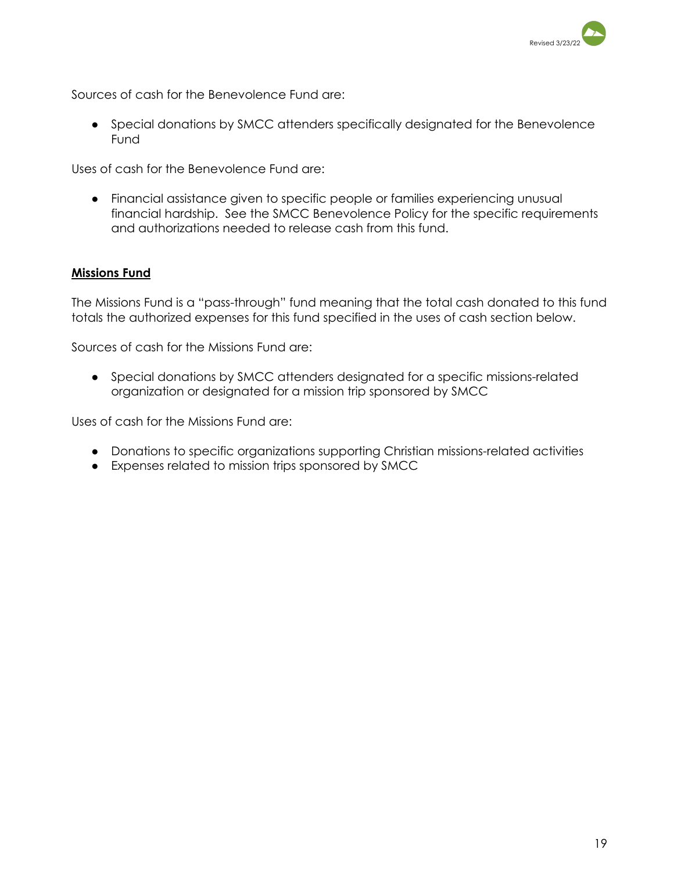

Sources of cash for the Benevolence Fund are:

● Special donations by SMCC attenders specifically designated for the Benevolence Fund

Uses of cash for the Benevolence Fund are:

● Financial assistance given to specific people or families experiencing unusual financial hardship. See the SMCC Benevolence Policy for the specific requirements and authorizations needed to release cash from this fund.

#### **Missions Fund**

The Missions Fund is a "pass-through" fund meaning that the total cash donated to this fund totals the authorized expenses for this fund specified in the uses of cash section below.

Sources of cash for the Missions Fund are:

● Special donations by SMCC attenders designated for a specific missions-related organization or designated for a mission trip sponsored by SMCC

Uses of cash for the Missions Fund are:

- Donations to specific organizations supporting Christian missions-related activities
- Expenses related to mission trips sponsored by SMCC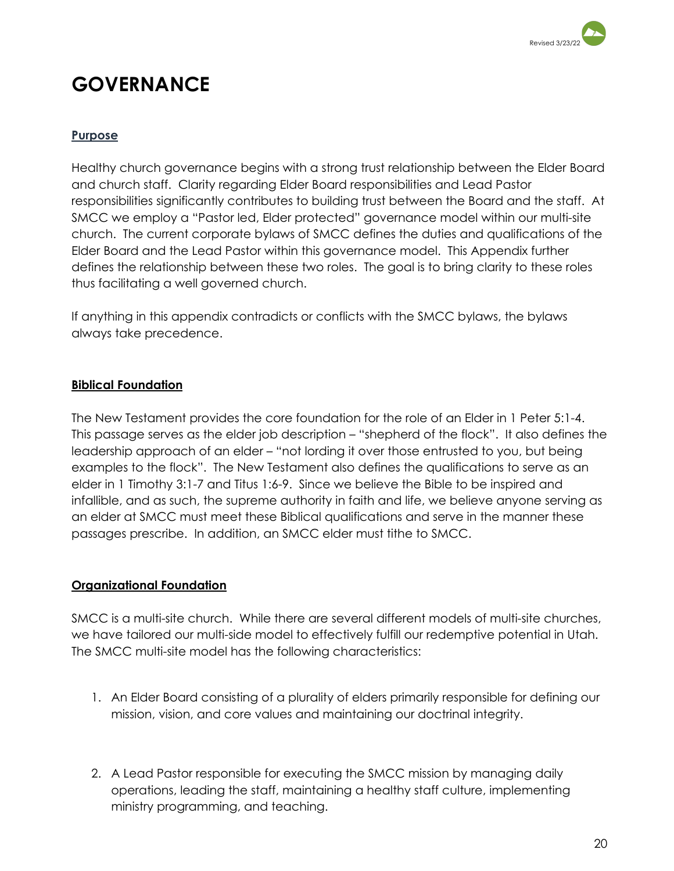

## **GOVERNANCE**

### **Purpose**

Healthy church governance begins with a strong trust relationship between the Elder Board and church staff. Clarity regarding Elder Board responsibilities and Lead Pastor responsibilities significantly contributes to building trust between the Board and the staff. At SMCC we employ a "Pastor led, Elder protected" governance model within our multi-site church. The current corporate bylaws of SMCC defines the duties and qualifications of the Elder Board and the Lead Pastor within this governance model. This Appendix further defines the relationship between these two roles. The goal is to bring clarity to these roles thus facilitating a well governed church.

If anything in this appendix contradicts or conflicts with the SMCC bylaws, the bylaws always take precedence.

### **Biblical Foundation**

The New Testament provides the core foundation for the role of an Elder in 1 Peter 5:1-4. This passage serves as the elder job description – "shepherd of the flock". It also defines the leadership approach of an elder – "not lording it over those entrusted to you, but being examples to the flock". The New Testament also defines the qualifications to serve as an elder in 1 Timothy 3:1-7 and Titus 1:6-9. Since we believe the Bible to be inspired and infallible, and as such, the supreme authority in faith and life, we believe anyone serving as an elder at SMCC must meet these Biblical qualifications and serve in the manner these passages prescribe. In addition, an SMCC elder must tithe to SMCC.

### **Organizational Foundation**

SMCC is a multi-site church. While there are several different models of multi-site churches, we have tailored our multi-side model to effectively fulfill our redemptive potential in Utah. The SMCC multi-site model has the following characteristics:

- 1. An Elder Board consisting of a plurality of elders primarily responsible for defining our mission, vision, and core values and maintaining our doctrinal integrity.
- 2. A Lead Pastor responsible for executing the SMCC mission by managing daily operations, leading the staff, maintaining a healthy staff culture, implementing ministry programming, and teaching.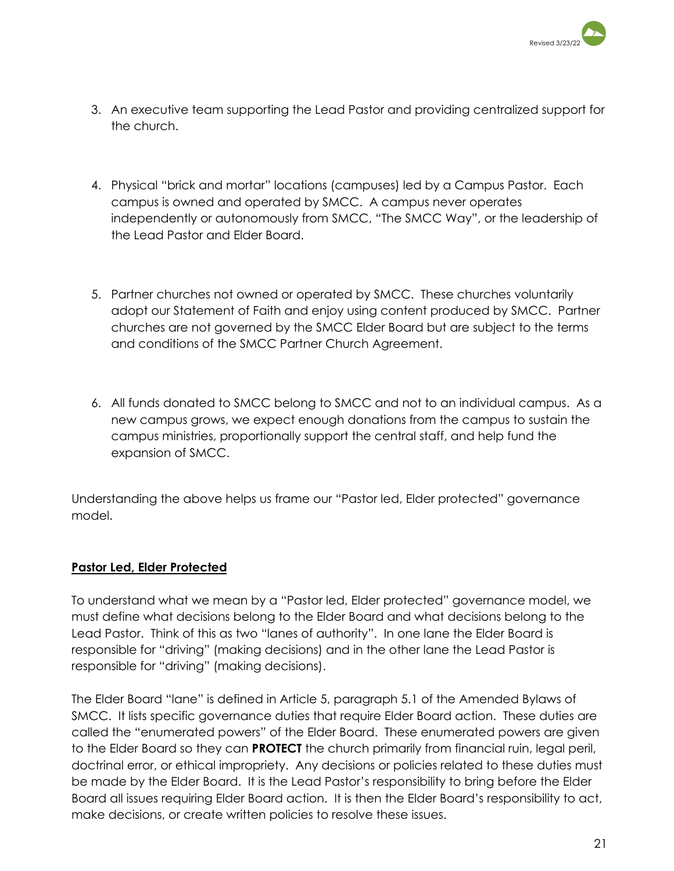

- 3. An executive team supporting the Lead Pastor and providing centralized support for the church.
- 4. Physical "brick and mortar" locations (campuses) led by a Campus Pastor. Each campus is owned and operated by SMCC. A campus never operates independently or autonomously from SMCC, "The SMCC Way", or the leadership of the Lead Pastor and Elder Board.
- 5. Partner churches not owned or operated by SMCC. These churches voluntarily adopt our Statement of Faith and enjoy using content produced by SMCC. Partner churches are not governed by the SMCC Elder Board but are subject to the terms and conditions of the SMCC Partner Church Agreement.
- 6. All funds donated to SMCC belong to SMCC and not to an individual campus. As a new campus grows, we expect enough donations from the campus to sustain the campus ministries, proportionally support the central staff, and help fund the expansion of SMCC.

Understanding the above helps us frame our "Pastor led, Elder protected" governance model.

### **Pastor Led, Elder Protected**

To understand what we mean by a "Pastor led, Elder protected" governance model, we must define what decisions belong to the Elder Board and what decisions belong to the Lead Pastor. Think of this as two "lanes of authority". In one lane the Elder Board is responsible for "driving" (making decisions) and in the other lane the Lead Pastor is responsible for "driving" (making decisions).

The Elder Board "lane" is defined in Article 5, paragraph 5.1 of the Amended Bylaws of SMCC. It lists specific governance duties that require Elder Board action. These duties are called the "enumerated powers" of the Elder Board. These enumerated powers are given to the Elder Board so they can **PROTECT** the church primarily from financial ruin, legal peril, doctrinal error, or ethical impropriety. Any decisions or policies related to these duties must be made by the Elder Board. It is the Lead Pastor's responsibility to bring before the Elder Board all issues requiring Elder Board action. It is then the Elder Board's responsibility to act, make decisions, or create written policies to resolve these issues.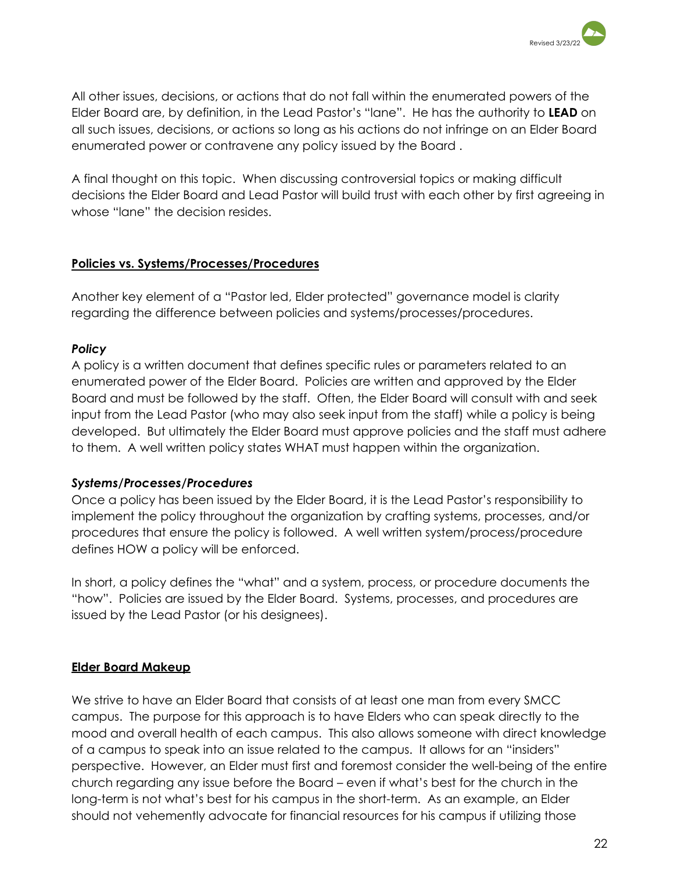

All other issues, decisions, or actions that do not fall within the enumerated powers of the Elder Board are, by definition, in the Lead Pastor's "lane". He has the authority to **LEAD** on all such issues, decisions, or actions so long as his actions do not infringe on an Elder Board enumerated power or contravene any policy issued by the Board .

A final thought on this topic. When discussing controversial topics or making difficult decisions the Elder Board and Lead Pastor will build trust with each other by first agreeing in whose "lane" the decision resides.

### **Policies vs. Systems/Processes/Procedures**

Another key element of a "Pastor led, Elder protected" governance model is clarity regarding the difference between policies and systems/processes/procedures.

### *Policy*

A policy is a written document that defines specific rules or parameters related to an enumerated power of the Elder Board. Policies are written and approved by the Elder Board and must be followed by the staff. Often, the Elder Board will consult with and seek input from the Lead Pastor (who may also seek input from the staff) while a policy is being developed. But ultimately the Elder Board must approve policies and the staff must adhere to them. A well written policy states WHAT must happen within the organization.

### *Systems/Processes/Procedures*

Once a policy has been issued by the Elder Board, it is the Lead Pastor's responsibility to implement the policy throughout the organization by crafting systems, processes, and/or procedures that ensure the policy is followed. A well written system/process/procedure defines HOW a policy will be enforced.

In short, a policy defines the "what" and a system, process, or procedure documents the "how". Policies are issued by the Elder Board. Systems, processes, and procedures are issued by the Lead Pastor (or his designees).

### **Elder Board Makeup**

We strive to have an Elder Board that consists of at least one man from every SMCC campus. The purpose for this approach is to have Elders who can speak directly to the mood and overall health of each campus. This also allows someone with direct knowledge of a campus to speak into an issue related to the campus. It allows for an "insiders" perspective. However, an Elder must first and foremost consider the well-being of the entire church regarding any issue before the Board – even if what's best for the church in the long-term is not what's best for his campus in the short-term. As an example, an Elder should not vehemently advocate for financial resources for his campus if utilizing those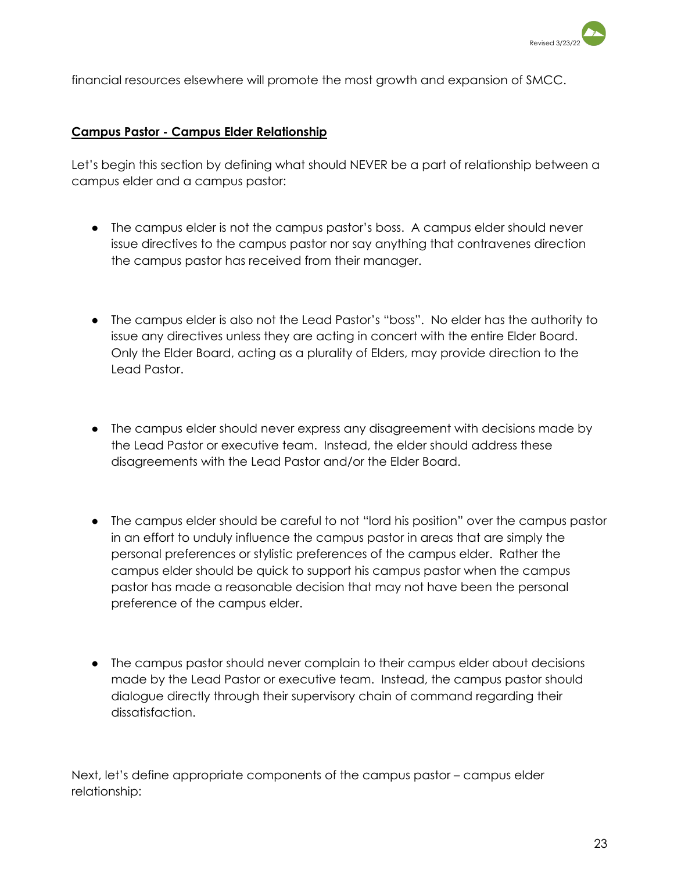

financial resources elsewhere will promote the most growth and expansion of SMCC.

#### **Campus Pastor - Campus Elder Relationship**

Let's begin this section by defining what should NEVER be a part of relationship between a campus elder and a campus pastor:

- The campus elder is not the campus pastor's boss. A campus elder should never issue directives to the campus pastor nor say anything that contravenes direction the campus pastor has received from their manager.
- The campus elder is also not the Lead Pastor's "boss". No elder has the authority to issue any directives unless they are acting in concert with the entire Elder Board. Only the Elder Board, acting as a plurality of Elders, may provide direction to the Lead Pastor.
- The campus elder should never express any disagreement with decisions made by the Lead Pastor or executive team. Instead, the elder should address these disagreements with the Lead Pastor and/or the Elder Board.
- The campus elder should be careful to not "lord his position" over the campus pastor in an effort to unduly influence the campus pastor in areas that are simply the personal preferences or stylistic preferences of the campus elder. Rather the campus elder should be quick to support his campus pastor when the campus pastor has made a reasonable decision that may not have been the personal preference of the campus elder.
- The campus pastor should never complain to their campus elder about decisions made by the Lead Pastor or executive team. Instead, the campus pastor should dialogue directly through their supervisory chain of command regarding their dissatisfaction.

Next, let's define appropriate components of the campus pastor – campus elder relationship: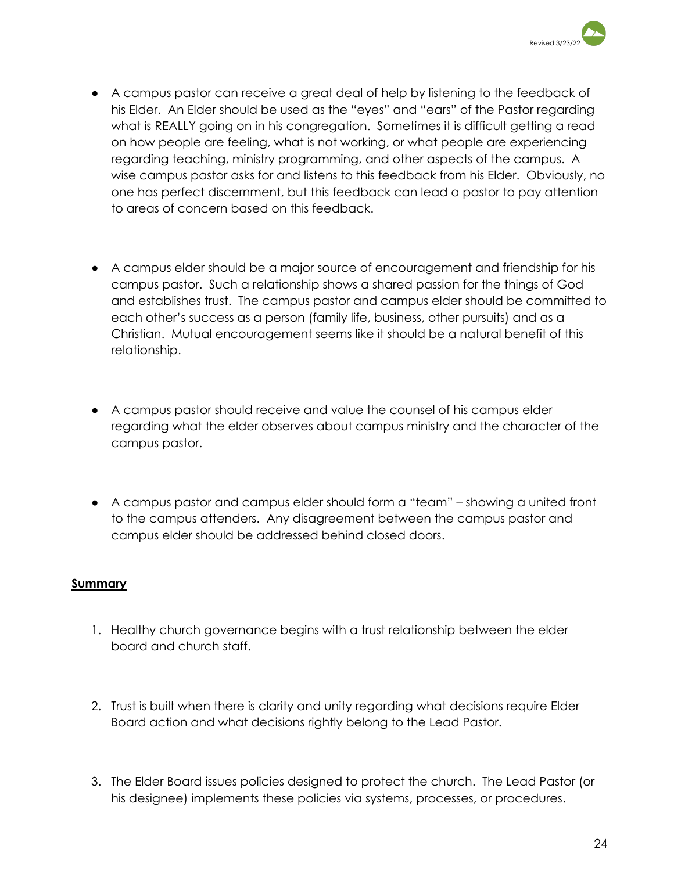

- A campus pastor can receive a great deal of help by listening to the feedback of his Elder. An Elder should be used as the "eyes" and "ears" of the Pastor regarding what is REALLY going on in his congregation. Sometimes it is difficult getting a read on how people are feeling, what is not working, or what people are experiencing regarding teaching, ministry programming, and other aspects of the campus. A wise campus pastor asks for and listens to this feedback from his Elder. Obviously, no one has perfect discernment, but this feedback can lead a pastor to pay attention to areas of concern based on this feedback.
- A campus elder should be a major source of encouragement and friendship for his campus pastor. Such a relationship shows a shared passion for the things of God and establishes trust. The campus pastor and campus elder should be committed to each other's success as a person (family life, business, other pursuits) and as a Christian. Mutual encouragement seems like it should be a natural benefit of this relationship.
- A campus pastor should receive and value the counsel of his campus elder regarding what the elder observes about campus ministry and the character of the campus pastor.
- A campus pastor and campus elder should form a "team" showing a united front to the campus attenders. Any disagreement between the campus pastor and campus elder should be addressed behind closed doors.

### **Summary**

- 1. Healthy church governance begins with a trust relationship between the elder board and church staff.
- 2. Trust is built when there is clarity and unity regarding what decisions require Elder Board action and what decisions rightly belong to the Lead Pastor.
- 3. The Elder Board issues policies designed to protect the church. The Lead Pastor (or his designee) implements these policies via systems, processes, or procedures.